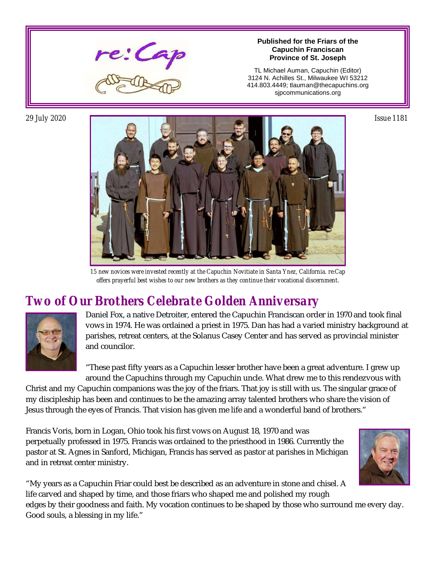

#### **Published for the Friars of the Capuchin Franciscan Province of St. Joseph**

TL Michael Auman, Capuchin (Editor) 3124 N. Achilles St., Milwaukee WI 53212 414.803.4449; tlauman@thecapuchins.org sjpcommunications.org



*15 new novices were invested recently at the Capuchin Novitiate in Santa Ynez, California. re:Cap offers prayerful best wishes to our new brothers as they continue their vocational discernment.*

#### *Two of Our Brothers Celebrate Golden Anniversary*



Daniel Fox, a native Detroiter, entered the Capuchin Franciscan order in 1970 and took final vows in 1974. He was ordained a priest in 1975. Dan has had a varied ministry background at parishes, retreat centers, at the Solanus Casey Center and has served as provincial minister and councilor.

"These past fifty years as a Capuchin lesser brother have been a great adventure. I grew up around the Capuchins through my Capuchin uncle. What drew me to this rendezvous with

Christ and my Capuchin companions was the joy of the friars. That joy is still with us. The singular grace of my discipleship has been and continues to be the amazing array talented brothers who share the vision of Jesus through the eyes of Francis. That vision has given me life and a wonderful band of brothers."

Francis Voris, born in Logan, Ohio took his first vows on August 18, 1970 and was perpetually professed in 1975. Francis was ordained to the priesthood in 1986. Currently the pastor at St. Agnes in Sanford, Michigan, Francis has served as pastor at parishes in Michigan and in retreat center ministry.



"My years as a Capuchin Friar could best be described as an adventure in stone and chisel. A life carved and shaped by time, and those friars who shaped me and polished my rough edges by their goodness and faith. My vocation continues to be shaped by those who surround me every day. Good souls, a blessing in my life."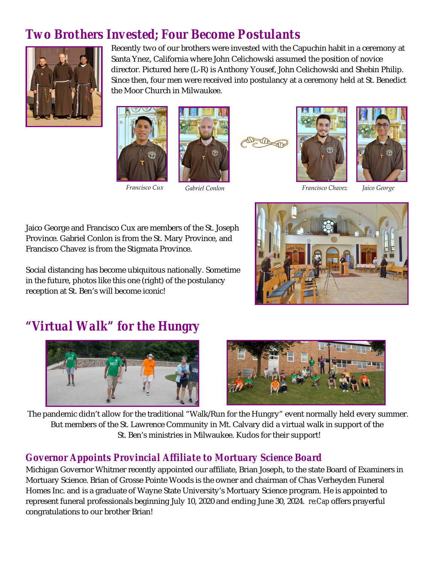## *Two Brothers Invested; Four Become Postulants*



Recently two of our brothers were invested with the Capuchin habit in a ceremony at Santa Ynez, California where John Celichowski assumed the position of novice director. Pictured here (L-R) is Anthony Yousef, John Celichowski and Shebin Philip. Since then, four men were received into postulancy at a ceremony held at St. Benedict the Moor Church in Milwaukee.











Jaico George and Francisco Cux are members of the St. Joseph Province. Gabriel Conlon is from the St. Mary Province, and Francisco Chavez is from the Stigmata Province.

Social distancing has become ubiquitous nationally. Sometime in the future, photos like this one (right) of the postulancy reception at St. Ben's will become iconic!



### *"Virtual Walk" for the Hungry*





The pandemic didn't allow for the traditional "Walk/Run for the Hungry" event normally held every summer. But members of the St. Lawrence Community in Mt. Calvary did a virtual walk in support of the St. Ben's ministries in Milwaukee. Kudos for their support!

#### *Governor Appoints Provincial Affiliate to Mortuary Science Board*

Michigan Governor Whitmer recently appointed our affiliate, Brian Joseph, to the state Board of Examiners in Mortuary Science. Brian of Grosse Pointe Woods is the owner and chairman of Chas Verheyden Funeral Homes Inc. and is a graduate of Wayne State University's Mortuary Science program. He is appointed to represent funeral professionals beginning July 10, 2020 and ending June 30, 2024. *re:Cap* offers prayerful congratulations to our brother Brian!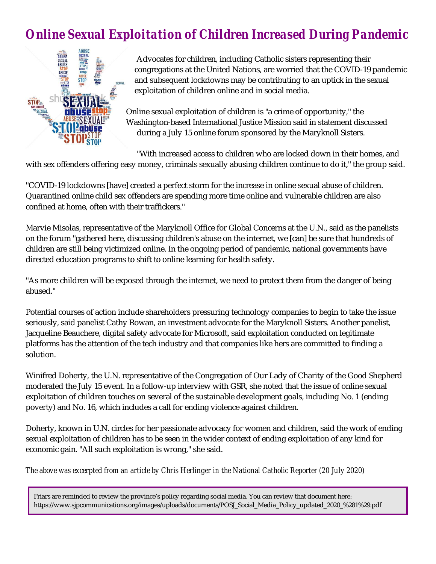# *Online Sexual Exploitation of Children Increased During Pandemic*



Advocates for children, including Catholic sisters representing their congregations at the United Nations, are worried that the COVID-19 pandemic and subsequent lockdowns may be contributing to an uptick in the sexual exploitation of children online and in social media.

Online sexual exploitation of children is "a crime of opportunity," the Washington-based International Justice Mission said in statement discussed during a July 15 online forum sponsored by the Maryknoll Sisters.

"With increased access to children who are locked down in their homes, and with sex offenders offering easy money, criminals sexually abusing children continue to do it," the group said.

"COVID-19 lockdowns [have] created a perfect storm for the increase in online sexual abuse of children. Quarantined online child sex offenders are spending more time online and vulnerable children are also confined at home, often with their traffickers."

Marvie Misolas, representative of the Maryknoll Office for Global Concerns at the U.N., said as the panelists on the forum "gathered here, discussing children's abuse on the internet, we [can] be sure that hundreds of children are still being victimized online. In the ongoing period of pandemic, national governments have directed education programs to shift to online learning for health safety.

"As more children will be exposed through the internet, we need to protect them from the danger of being abused."

Potential courses of action include shareholders pressuring technology companies to begin to take the issue seriously, said panelist Cathy Rowan, an investment advocate for the Maryknoll Sisters. Another panelist, Jacqueline Beauchere, digital safety advocate for Microsoft, said exploitation conducted on legitimate platforms has the attention of the tech industry and that companies like hers are committed to finding a solution.

Winifred Doherty, the U.N. representative of the Congregation of Our Lady of Charity of the Good Shepherd moderated the July 15 event. In a follow-up interview with GSR, she noted that the issue of online sexual exploitation of children touches on several of the sustainable development goals, including No. 1 (ending poverty) and No. 16, which includes a call for ending violence against children.

Doherty, known in U.N. circles for her passionate advocacy for women and children, said the work of ending sexual exploitation of children has to be seen in the wider context of ending exploitation of any kind for economic gain. "All such exploitation is wrong," she said.

*The above was excerpted from an article by Chris Herlinger in the National Catholic Reporter (20 July 2020)*

Friars are reminded to review the province's policy regarding social media. You can review that document here: https://www.sjpcommunications.org/images/uploads/documents/POSJ\_Social\_Media\_Policy\_updated\_2020\_%281%29.pdf